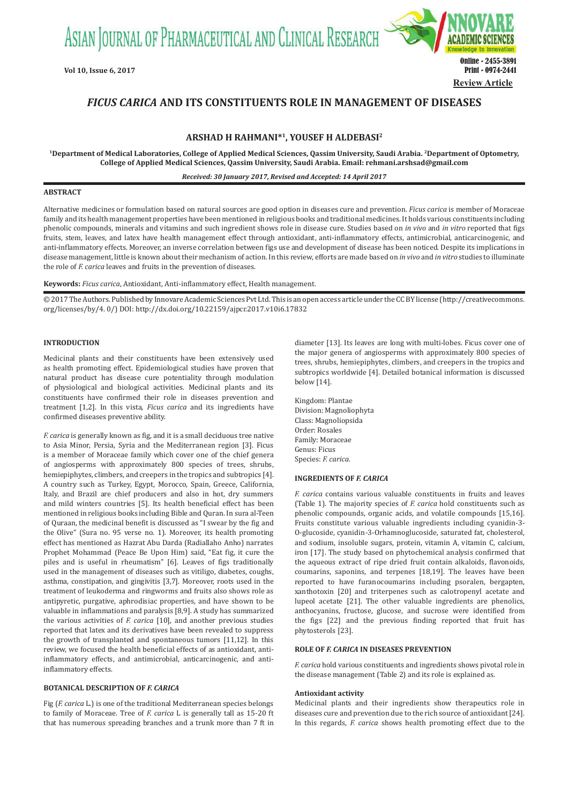ASIAN JOURNAL OF PHARMACEUTICAL AND CLINICAL RESEARCH



# *FICUS CARICA* **AND ITS CONSTITUENTS ROLE IN MANAGEMENT OF DISEASES**

# **ARSHAD H RAHMANI\*1, YOUSEF H ALDEBASI2**

**1Department of Medical Laboratories, College of Applied Medical Sciences, Qassim University, Saudi Arabia. 2Department of Optometry, College of Applied Medical Sciences, Qassim University, Saudi Arabia. Email: rehmani.arshsad@gmail.com**

*Received: 30 January 2017, Revised and Accepted: 14 April 2017*

# **ABSTRACT**

Alternative medicines or formulation based on natural sources are good option in diseases cure and prevention. *Ficus carica* is member of Moraceae family and its health management properties have been mentioned in religious books and traditional medicines. It holds various constituents including phenolic compounds, minerals and vitamins and such ingredient shows role in disease cure. Studies based on *in vivo* and *in vitro* reported that figs fruits, stem, leaves, and latex have health management effect through antioxidant, anti-inflammatory effects, antimicrobial, anticarcinogenic, and anti-inflammatory effects. Moreover, an inverse correlation between figs use and development of disease has been noticed. Despite its implications in disease management, little is known about their mechanism of action. In this review, efforts are made based on *in vivo* and *in vitro* studies to illuminate the role of *F. carica* leaves and fruits in the prevention of diseases.

**Keywords:** *Ficus carica*, Antioxidant, Anti-inflammatory effect, Health management.

© 2017 The Authors. Published by Innovare Academic Sciences Pvt Ltd. This is an open access article under the CC BY license (http://creativecommons. org/licenses/by/4. 0/) DOI: http://dx.doi.org/10.22159/ajpcr.2017.v10i6.17832

### **INTRODUCTION**

Medicinal plants and their constituents have been extensively used as health promoting effect. Epidemiological studies have proven that natural product has disease cure potentiality through modulation of physiological and biological activities. Medicinal plants and its constituents have confirmed their role in diseases prevention and treatment [1,2]. In this vista, *Ficus carica* and its ingredients have confirmed diseases preventive ability.

*F. carica* is generally known as fig, and it is a small deciduous tree native to Asia Minor, Persia, Syria and the Mediterranean region [3]. Ficus is a member of Moraceae family which cover one of the chief genera of angiosperms with approximately 800 species of trees, shrubs, hemiepiphytes, climbers, and creepers in the tropics and subtropics [4]. A country such as Turkey, Egypt, Morocco, Spain, Greece, California, Italy, and Brazil are chief producers and also in hot, dry summers and mild winters countries [5]. Its health beneficial effect has been mentioned in religious books including Bible and Quran. In sura al-Teen of Quraan, the medicinal benefit is discussed as "I swear by the fig and the Olive" (Sura no. 95 verse no. 1). Moreover, its health promoting effect has mentioned as Hazrat Abu Darda (Radiallaho Anho) narrates Prophet Mohammad (Peace Be Upon Him) said, "Eat fig, it cure the piles and is useful in rheumatism" [6]. Leaves of figs traditionally used in the management of diseases such as vitiligo, diabetes, coughs, asthma, constipation, and gingivitis [3,7]. Moreover, roots used in the treatment of leukoderma and ringworms and fruits also shows role as antipyretic, purgative, aphrodisiac properties, and have shown to be valuable in inflammations and paralysis [8,9]. A study has summarized the various activities of *F. carica* [10], and another previous studies reported that latex and its derivatives have been revealed to suppress the growth of transplanted and spontaneous tumors [11,12]. In this review, we focused the health beneficial effects of as antioxidant, antiinflammatory effects, and antimicrobial, anticarcinogenic, and antiinflammatory effects.

## **BOTANICAL DESCRIPTION OF** *F. CARICA*

Fig (*F. carica* L.) is one of the traditional Mediterranean species belongs to family of Moraceae. Tree of *F. carica* L is generally tall as 15-20 ft that has numerous spreading branches and a trunk more than 7 ft in diameter [13]. Its leaves are long with multi-lobes. Ficus cover one of the major genera of angiosperms with approximately 800 species of trees, shrubs, hemiepiphytes, climbers, and creepers in the tropics and subtropics worldwide [4]. Detailed botanical information is discussed below [14].

Kingdom: Plantae Division: Magnoliophyta Class: Magnoliopsida Order: Rosales Family: Moraceae Genus: Ficus Species: *F. carica*.

# **INGREDIENTS OF** *F. CARICA*

*F. carica* contains various valuable constituents in fruits and leaves (Table 1). The majority species of *F. carica* hold constituents such as phenolic compounds, organic acids, and volatile compounds [15,16]. Fruits constitute various valuable ingredients including cyanidin-3- O-glucoside, cyanidin-3-Orhamnoglucoside, saturated fat, cholesterol, and sodium, insoluble sugars, protein, vitamin A, vitamin C, calcium, iron [17]. The study based on phytochemical analysis confirmed that the aqueous extract of ripe dried fruit contain alkaloids, flavonoids, coumarins, saponins, and terpenes [18,19]. The leaves have been reported to have furanocoumarins including psoralen, bergapten, xanthotoxin [20] and triterpenes such as calotropenyl acetate and lupeol acetate [21]. The other valuable ingredients are phenolics, anthocyanins, fructose, glucose, and sucrose were identified from the figs [22] and the previous finding reported that fruit has phytosterols [23].

# **ROLE OF** *F. CARICA* **IN DISEASES PREVENTION**

*F. carica* hold various constituents and ingredients shows pivotal role in the disease management (Table 2) and its role is explained as.

#### **Antioxidant activity**

Medicinal plants and their ingredients show therapeutics role in diseases cure and prevention due to the rich source of antioxidant [24]. In this regards, *F. carica* shows health promoting effect due to the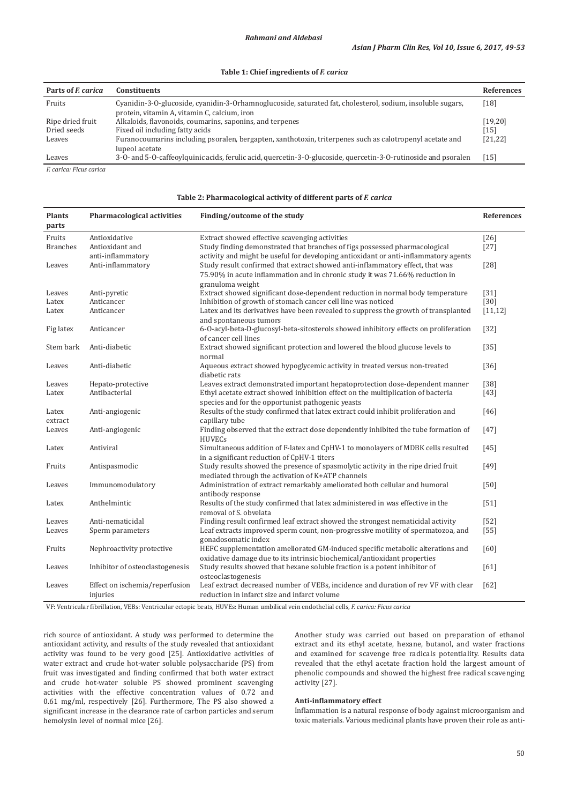### **Table 1: Chief ingredients of** *F. carica*

| Parts of <i>F</i> carica | <b>Constituents</b>                                                                                                                                        | <b>References</b> |
|--------------------------|------------------------------------------------------------------------------------------------------------------------------------------------------------|-------------------|
| Fruits                   | Cyanidin-3-0-glucoside, cyanidin-3-0rhamnoglucoside, saturated fat, cholesterol, sodium, insoluble sugars,<br>protein, vitamin A, vitamin C, calcium, iron | $18$ ]            |
| Ripe dried fruit         | Alkaloids, flavonoids, coumarins, saponins, and terpenes                                                                                                   | [19, 20]          |
| Dried seeds              | Fixed oil including fatty acids                                                                                                                            | $[15]$            |
| Leaves                   | Furanocoumarins including psoralen, bergapten, xanthotoxin, triterpenes such as calotropenyl acetate and<br>lupeol acetate                                 | [21, 22]          |
| Leaves                   | 3-0- and 5-0-caffeoylquinic acids, ferulic acid, quercetin-3-0-glucoside, quercetin-3-0-rutinoside and psoralen                                            | <sup>15</sup>     |

*F. carica: Ficus carica*

#### **Table 2: Pharmacological activity of different parts of** *F. carica*

| <b>Plants</b><br>parts    | <b>Pharmacological activities</b>          | Finding/outcome of the study                                                                                                                                                                                                                         | <b>References</b> |
|---------------------------|--------------------------------------------|------------------------------------------------------------------------------------------------------------------------------------------------------------------------------------------------------------------------------------------------------|-------------------|
| Fruits<br><b>Branches</b> | Antioxidative<br>Antioxidant and           | Extract showed effective scavenging activities<br>Study finding demonstrated that branches of figs possessed pharmacological                                                                                                                         | $[26]$<br>$[27]$  |
| Leaves                    | anti-inflammatory<br>Anti-inflammatory     | activity and might be useful for developing antioxidant or anti-inflammatory agents<br>Study result confirmed that extract showed anti-inflammatory effect, that was<br>75.90% in acute inflammation and in chronic study it was 71.66% reduction in | $[28]$            |
| Leaves                    | Anti-pyretic                               | granuloma weight<br>Extract showed significant dose-dependent reduction in normal body temperature                                                                                                                                                   | $[31]$            |
| Latex                     | Anticancer                                 | Inhibition of growth of stomach cancer cell line was noticed                                                                                                                                                                                         | $[30]$            |
| Latex                     | Anticancer                                 | Latex and its derivatives have been revealed to suppress the growth of transplanted<br>and spontaneous tumors                                                                                                                                        | [11, 12]          |
| Fig latex                 | Anticancer                                 | 6-O-acyl-beta-D-glucosyl-beta-sitosterols showed inhibitory effects on proliferation<br>of cancer cell lines                                                                                                                                         | $[32]$            |
| Stem bark                 | Anti-diabetic                              | Extract showed significant protection and lowered the blood glucose levels to<br>normal                                                                                                                                                              | $[35]$            |
| Leaves                    | Anti-diabetic                              | Aqueous extract showed hypoglycemic activity in treated versus non-treated<br>diabetic rats                                                                                                                                                          | $[36]$            |
| Leaves                    | Hepato-protective                          | Leaves extract demonstrated important hepatoprotection dose-dependent manner                                                                                                                                                                         | $[38]$            |
| Latex                     | Antibacterial                              | Ethyl acetate extract showed inhibition effect on the multiplication of bacteria<br>species and for the opportunist pathogenic yeasts                                                                                                                | $[43]$            |
| Latex<br>extract          | Anti-angiogenic                            | Results of the study confirmed that latex extract could inhibit proliferation and<br>capillary tube                                                                                                                                                  | [46]              |
| Leaves                    | Anti-angiogenic                            | Finding observed that the extract dose dependently inhibited the tube formation of<br><b>HUVECs</b>                                                                                                                                                  | $[47]$            |
| Latex                     | Antiviral                                  | Simultaneous addition of F-latex and CpHV-1 to monolayers of MDBK cells resulted<br>in a significant reduction of CpHV-1 titers                                                                                                                      | $[45]$            |
| Fruits                    | Antispasmodic                              | Study results showed the presence of spasmolytic activity in the ripe dried fruit<br>mediated through the activation of K+ATP channels                                                                                                               | [49]              |
| Leaves                    | Immunomodulatory                           | Administration of extract remarkably ameliorated both cellular and humoral                                                                                                                                                                           | [50]              |
| Latex                     | Anthelmintic                               | antibody response<br>Results of the study confirmed that latex administered in was effective in the<br>removal of S. obvelata                                                                                                                        | $[51]$            |
| Leaves                    | Anti-nematicidal                           | Finding result confirmed leaf extract showed the strongest nematicidal activity                                                                                                                                                                      | $[52]$            |
| Leaves                    | Sperm parameters                           | Leaf extracts improved sperm count, non-progressive motility of spermatozoa, and<br>gonadosomatic index                                                                                                                                              | $[55]$            |
| Fruits                    | Nephroactivity protective                  | HEFC supplementation ameliorated GM-induced specific metabolic alterations and                                                                                                                                                                       | [60]              |
| Leaves                    | Inhibitor of osteoclastogenesis            | oxidative damage due to its intrinsic biochemical/antioxidant properties<br>Study results showed that hexane soluble fraction is a potent inhibitor of                                                                                               | [61]              |
| Leaves                    | Effect on ischemia/reperfusion<br>injuries | osteoclastogenesis<br>Leaf extract decreased number of VEBs, incidence and duration of rev VF with clear<br>reduction in infarct size and infarct volume                                                                                             | [62]              |

VF: Ventricular fibrillation, VEBs: Ventricular ectopic beats, HUVEs: Human umbilical vein endothelial cells, *F. carica: Ficus carica*

rich source of antioxidant. A study was performed to determine the antioxidant activity, and results of the study revealed that antioxidant activity was found to be very good [25]. Antioxidative activities of water extract and crude hot-water soluble polysaccharide (PS) from fruit was investigated and finding confirmed that both water extract and crude hot-water soluble PS showed prominent scavenging activities with the effective concentration values of 0.72 and 0.61 mg/ml, respectively [26]. Furthermore, The PS also showed a significant increase in the clearance rate of carbon particles and serum hemolysin level of normal mice [26].

Another study was carried out based on preparation of ethanol extract and its ethyl acetate, hexane, butanol, and water fractions and examined for scavenge free radicals potentiality. Results data revealed that the ethyl acetate fraction hold the largest amount of phenolic compounds and showed the highest free radical scavenging activity [27].

#### **Anti-inflammatory effect**

Inflammation is a natural response of body against microorganism and toxic materials. Various medicinal plants have proven their role as anti-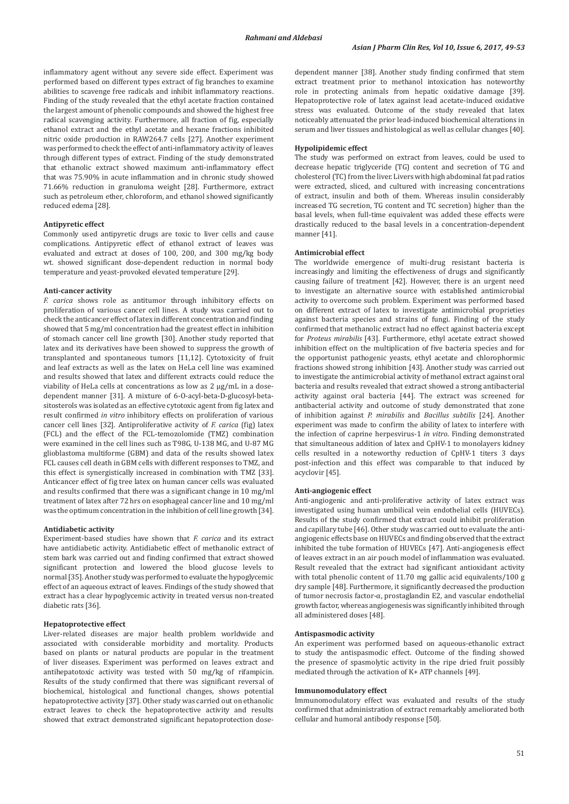inflammatory agent without any severe side effect. Experiment was performed based on different types extract of fig branches to examine abilities to scavenge free radicals and inhibit inflammatory reactions. Finding of the study revealed that the ethyl acetate fraction contained the largest amount of phenolic compounds and showed the highest free radical scavenging activity. Furthermore, all fraction of fig, especially ethanol extract and the ethyl acetate and hexane fractions inhibited nitric oxide production in RAW264.7 cells [27]. Another experiment was performed to check the effect of anti-inflammatory activity of leaves through different types of extract. Finding of the study demonstrated that ethanolic extract showed maximum anti-inflammatory effect that was 75.90% in acute inflammation and in chronic study showed 71.66% reduction in granuloma weight [28]. Furthermore, extract such as petroleum ether, chloroform, and ethanol showed significantly reduced edema [28].

## **Antipyretic effect**

Commonly used antipyretic drugs are toxic to liver cells and cause complications. Antipyretic effect of ethanol extract of leaves was evaluated and extract at doses of 100, 200, and 300 mg/kg body wt. showed significant dose-dependent reduction in normal body temperature and yeast-provoked elevated temperature [29].

#### **Anti-cancer activity**

*F. carica* shows role as antitumor through inhibitory effects on proliferation of various cancer cell lines. A study was carried out to check the anticancer effect of latex in different concentration and finding showed that 5 mg/ml concentration had the greatest effect in inhibition of stomach cancer cell line growth [30]. Another study reported that latex and its derivatives have been showed to suppress the growth of transplanted and spontaneous tumors [11,12]. Cytotoxicity of fruit and leaf extracts as well as the latex on HeLa cell line was examined and results showed that latex and different extracts could reduce the viability of HeLa cells at concentrations as low as 2 µg/mL in a dosedependent manner [31]. A mixture of 6-O-acyl-beta-D-glucosyl-betasitosterols was isolated as an effective cytotoxic agent from fig latex and result confirmed *in vitro* inhibitory effects on proliferation of various cancer cell lines [32]. Antiproliferative activity of *F. carica* (fig) latex (FCL) and the effect of the FCL-temozolomide (TMZ) combination were examined in the cell lines such as T98G, U-138 MG, and U-87 MG glioblastoma multiforme (GBM) and data of the results showed latex FCL causes cell death in GBM cells with different responses to TMZ, and this effect is synergistically increased in combination with TMZ [33]. Anticancer effect of fig tree latex on human cancer cells was evaluated and results confirmed that there was a significant change in 10 mg/ml treatment of latex after 72 hrs on esophageal cancer line and 10 mg/ml was the optimum concentration in the inhibition of cell line growth [34].

### **Antidiabetic activity**

Experiment-based studies have shown that *F. carica* and its extract have antidiabetic activity. Antidiabetic effect of methanolic extract of stem bark was carried out and finding confirmed that extract showed significant protection and lowered the blood glucose levels to normal[35]. Another study was performed to evaluate the hypoglycemic effect of an aqueous extract of leaves. Findings of the study showed that extract has a clear hypoglycemic activity in treated versus non-treated diabetic rats [36].

### **Hepatoprotective effect**

Liver-related diseases are major health problem worldwide and associated with considerable morbidity and mortality. Products based on plants or natural products are popular in the treatment of liver diseases. Experiment was performed on leaves extract and antihepatotoxic activity was tested with 50 mg/kg of rifampicin. Results of the study confirmed that there was significant reversal of biochemical, histological and functional changes, shows potential hepatoprotective activity [37]. Other study was carried out on ethanolic extract leaves to check the hepatoprotective activity and results showed that extract demonstrated significant hepatoprotection dosedependent manner [38]. Another study finding confirmed that stem extract treatment prior to methanol intoxication has noteworthy role in protecting animals from hepatic oxidative damage [39]. Hepatoprotective role of latex against lead acetate-induced oxidative stress was evaluated. Outcome of the study revealed that latex noticeably attenuated the prior lead-induced biochemical alterations in serum and liver tissues and histological as well as cellular changes [40].

## **Hypolipidemic effect**

The study was performed on extract from leaves, could be used to decrease hepatic triglyceride (TG) content and secretion of TG and cholesterol (TC) from the liver. Livers with high abdominal fat pad ratios were extracted, sliced, and cultured with increasing concentrations of extract, insulin and both of them. Whereas insulin considerably increased TG secretion, TG content and TC secretion) higher than the basal levels, when full-time equivalent was added these effects were drastically reduced to the basal levels in a concentration-dependent manner [41].

## **Antimicrobial effect**

The worldwide emergence of multi-drug resistant bacteria is increasingly and limiting the effectiveness of drugs and significantly causing failure of treatment [42]. However, there is an urgent need to investigate an alternative source with established antimicrobial activity to overcome such problem. Experiment was performed based on different extract of latex to investigate antimicrobial proprieties against bacteria species and strains of fungi. Finding of the study confirmed that methanolic extract had no effect against bacteria except for *Proteus mirabilis* [43]. Furthermore, ethyl acetate extract showed inhibition effect on the multiplication of five bacteria species and for the opportunist pathogenic yeasts, ethyl acetate and chlorophormic fractions showed strong inhibition [43]. Another study was carried out to investigate the antimicrobial activity of methanol extract against oral bacteria and results revealed that extract showed a strong antibacterial activity against oral bacteria [44]. The extract was screened for antibacterial activity and outcome of study demonstrated that zone of inhibition against *P. mirabilis* and *Bacillus subtilis* [24]. Another experiment was made to confirm the ability of latex to interfere with the infection of caprine herpesvirus-1 *in vitro*. Finding demonstrated that simultaneous addition of latex and CpHV-1 to monolayers kidney cells resulted in a noteworthy reduction of CpHV-1 titers 3 days post-infection and this effect was comparable to that induced by acyclovir [45].

### **Anti-angiogenic effect**

Anti-angiogenic and anti-proliferative activity of latex extract was investigated using human umbilical vein endothelial cells (HUVECs). Results of the study confirmed that extract could inhibit proliferation and capillary tube [46]. Other study was carried out to evaluate the antiangiogenic effects base on HUVECs and finding observed that the extract inhibited the tube formation of HUVECs [47]. Anti-angiogenesis effect of leaves extract in an air pouch model of inflammation was evaluated. Result revealed that the extract had significant antioxidant activity with total phenolic content of 11.70 mg gallic acid equivalents/100 g dry sample [48]. Furthermore, it significantly decreased the production of tumor necrosis factor-α, prostaglandin E2, and vascular endothelial growth factor, whereas angiogenesis was significantly inhibited through all administered doses [48].

#### **Antispasmodic activity**

An experiment was performed based on aqueous-ethanolic extract to study the antispasmodic effect. Outcome of the finding showed the presence of spasmolytic activity in the ripe dried fruit possibly mediated through the activation of K+ ATP channels [49].

#### **Immunomodulatory effect**

Immunomodulatory effect was evaluated and results of the study confirmed that administration of extract remarkably ameliorated both cellular and humoral antibody response [50].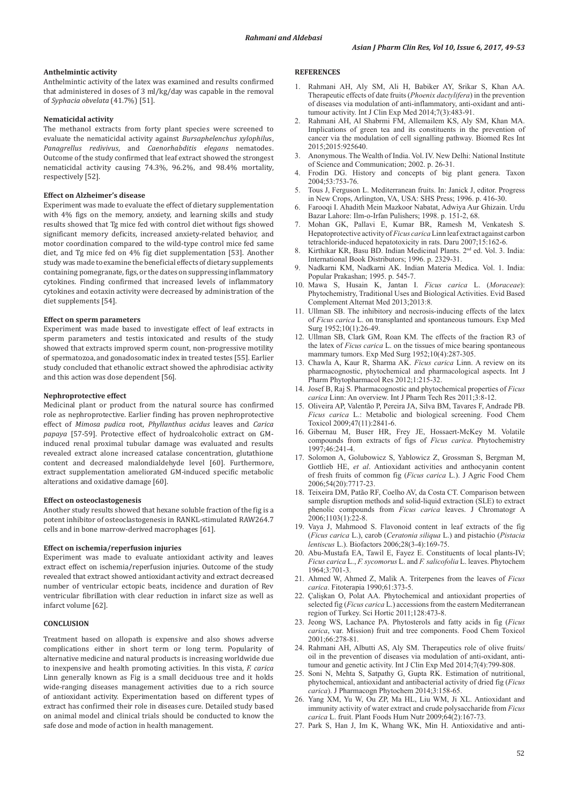### **Anthelmintic activity**

Anthelmintic activity of the latex was examined and results confirmed that administered in doses of 3 ml/kg/day was capable in the removal of *Syphacia obvelata* (41.7%) [51].

### **Nematicidal activity**

The methanol extracts from forty plant species were screened to evaluate the nematicidal activity against *Bursaphelenchus xylophilu*s, *Panagrellus redivivus*, and *Caenorhabditis elegans* nematodes. Outcome of the study confirmed that leaf extract showed the strongest nematicidal activity causing 74.3%, 96.2%, and 98.4% mortality, respectively [52].

### **Effect on Alzheimer's disease**

Experiment was made to evaluate the effect of dietary supplementation with 4% figs on the memory, anxiety, and learning skills and study results showed that Tg mice fed with control diet without figs showed significant memory deficits, increased anxiety-related behavior, and motor coordination compared to the wild-type control mice fed same diet, and Tg mice fed on 4% fig diet supplementation [53]. Another study was made to examine the beneficial effects of dietary supplements containing pomegranate, figs, or the dates on suppressing inflammatory cytokines. Finding confirmed that increased levels of inflammatory cytokines and eotaxin activity were decreased by administration of the diet supplements [54].

### **Effect on sperm parameters**

Experiment was made based to investigate effect of leaf extracts in sperm parameters and testis intoxicated and results of the study showed that extracts improved sperm count, non-progressive motility of spermatozoa, and gonadosomatic index in treated testes [55]. Earlier study concluded that ethanolic extract showed the aphrodisiac activity and this action was dose dependent [56].

#### **Nephroprotective effect**

Medicinal plant or product from the natural source has confirmed role as nephroprotective. Earlier finding has proven nephroprotective effect of *Mimosa pudica* root, *Phyllanthus acidus* leaves and *Carica papaya* [57-59]. Protective effect of hydroalcoholic extract on GMinduced renal proximal tubular damage was evaluated and results revealed extract alone increased catalase concentration, glutathione content and decreased malondialdehyde level [60]. Furthermore, extract supplementation ameliorated GM-induced specific metabolic alterations and oxidative damage [60].

#### **Effect on osteoclastogenesis**

Another study results showed that hexane soluble fraction of the fig is a potent inhibitor of osteoclastogenesis in RANKL-stimulated RAW264.7 cells and in bone marrow-derived macrophages [61].

#### **Effect on ischemia/reperfusion injuries**

Experiment was made to evaluate antioxidant activity and leaves extract effect on ischemia/reperfusion injuries. Outcome of the study revealed that extract showed antioxidant activity and extract decreased number of ventricular ectopic beats, incidence and duration of Rev ventricular fibrillation with clear reduction in infarct size as well as infarct volume [62].

### **CONCLUSION**

Treatment based on allopath is expensive and also shows adverse complications either in short term or long term. Popularity of alternative medicine and natural products is increasing worldwide due to inexpensive and health promoting activities. In this vista, *F. carica*  Linn generally known as Fig is a small deciduous tree and it holds wide-ranging diseases management activities due to a rich source of antioxidant activity. Experimentation based on different types of extract has confirmed their role in diseases cure. Detailed study based on animal model and clinical trials should be conducted to know the safe dose and mode of action in health management.

#### **REFERENCES**

- 1. Rahmani AH, Aly SM, Ali H, Babiker AY, Srikar S, Khan AA. Therapeutic effects of date fruits (*Phoenix dactylifera*) in the prevention of diseases via modulation of anti-inflammatory, anti-oxidant and antitumour activity. Int J Clin Exp Med 2014;7(3):483-91.
- 2. Rahmani AH, Al Shabrmi FM, Allemailem KS, Aly SM, Khan MA. Implications of green tea and its constituents in the prevention of cancer via the modulation of cell signalling pathway. Biomed Res Int 2015;2015:925640.
- 3. Anonymous. The Wealth of India. Vol. IV. New Delhi: National Institute of Science and Communication; 2002. p. 26-31.
- 4. Frodin DG. History and concepts of big plant genera. Taxon 2004;53:753-76.
- 5. Tous J, Ferguson L. Mediterranean fruits. In: Janick J, editor. Progress in New Crops, Arlington, VA, USA: SHS Press; 1996. p. 416-30.
- 6. Farooqi I. Ahadith Mein Mazkoor Nabatat, Adwiya Aur Ghizain. Urdu Bazar Lahore: Ilm-o-Irfan Pulishers; 1998. p. 151-2, 68.
- 7. Mohan GK, Pallavi E, Kumar BR, Ramesh M, Venkatesh S. Hepatoprotective activity of *Ficus carica* Linn leaf extract against carbon tetrachloride-induced hepatotoxicity in rats. Daru 2007;15:162-6.
- Kirthikar KR, Basu BD. Indian Medicinal Plants. 2<sup>nd</sup> ed. Vol. 3. India: International Book Distributors; 1996. p. 2329-31.
- 9. Nadkarni KM, Nadkarni AK. Indian Materia Medica. Vol. 1. India: Popular Prakashan; 1995. p. 545-7.
- 10. Mawa S, Husain K, Jantan I. *Ficus carica* L. (*Moraceae*): Phytochemistry, Traditional Uses and Biological Activities. Evid Based Complement Alternat Med 2013;2013:8.
- Ullman SB. The inhibitory and necrosis-inducing effects of the latex of *Ficus carica* L. on transplanted and spontaneous tumours. Exp Med Surg 1952;10(1):26-49.
- 12. Ullman SB, Clark GM, Roan KM. The effects of the fraction R3 of the latex of *Ficus carica* L. on the tissues of mice bearing spontaneous mammary tumors. Exp Med Surg 1952;10(4):287-305.
- 13. Chawla A, Kaur R, Sharma AK. *Ficus carica* Linn. A review on its pharmacognostic, phytochemical and pharmacological aspects. Int J Pharm Phytopharmacol Res 2012;1:215-32.
- 14. Josef B, Raj S. Pharmacognostic and phytochemical properties of *Ficus carica* Linn: An overview. Int J Pharm Tech Res 2011;3:8-12.
- 15. Oliveira AP, Valentão P, Pereira JA, Silva BM, Tavares F, Andrade PB. *Ficus carica* L.: Metabolic and biological screening. Food Chem Toxicol 2009;47(11):2841-6.
- 16. Gibernau M, Buser HR, Frey JE, Hossaert-McKey M. Volatile compounds from extracts of figs of *Ficus carica*. Phytochemistry 1997;46:241-4.
- 17. Solomon A, Golubowicz S, Yablowicz Z, Grossman S, Bergman M, Gottlieb HE, *et al*. Antioxidant activities and anthocyanin content of fresh fruits of common fig (*Ficus carica* L.). J Agric Food Chem 2006;54(20):7717-23.
- 18. Teixeira DM, Patão RF, Coelho AV, da Costa CT. Comparison between sample disruption methods and solid-liquid extraction (SLE) to extract phenolic compounds from *Ficus carica* leaves. J Chromatogr A  $2006:1103(1):22-8$ .
- 19. Vaya J, Mahmood S. Flavonoid content in leaf extracts of the fig (*Ficus carica* L.), carob (*Ceratonia siliqua* L.) and pistachio (*Pistacia lentiscus* L.). Biofactors 2006;28(3-4):169-75.
- 20. Abu-Mustafa EA, Tawil E, Fayez E. Constituents of local plants-IV; *Ficus carica* L., *F. sycomorus* L. and *F. salicofolia* L. leaves. Phytochem 1964;3:701-3.
- 21. Ahmed W, Ahmed Z, Malik A. Triterpenes from the leaves of *Ficus carica*. Fitoterapia 1990;61:373-5.
- 22. Çalişkan O, Polat AA. Phytochemical and antioxidant properties of selected fig (*Ficus carica* L.) accessions from the eastern Mediterranean region of Turkey. Sci Hortic 2011;128:473-8.
- 23. Jeong WS, Lachance PA. Phytosterols and fatty acids in fig (*Ficus carica*, var. Mission) fruit and tree components. Food Chem Toxicol 2001;66:278-81.
- 24. Rahmani AH, Albutti AS, Aly SM. Therapeutics role of olive fruits/ oil in the prevention of diseases via modulation of anti-oxidant, antitumour and genetic activity. Int J Clin Exp Med 2014;7(4):799-808.
- 25. Soni N, Mehta S, Satpathy G, Gupta RK. Estimation of nutritional, phytochemical, antioxidant and antibacterial activity of dried fig (*Ficus carica*). J Pharmacogn Phytochem 2014;3:158-65.
- 26. Yang XM, Yu W, Ou ZP, Ma HL, Liu WM, Ji XL. Antioxidant and immunity activity of water extract and crude polysaccharide from *Ficus carica* L. fruit. Plant Foods Hum Nutr 2009;64(2):167-73.
- 27. Park S, Han J, Im K, Whang WK, Min H. Antioxidative and anti-